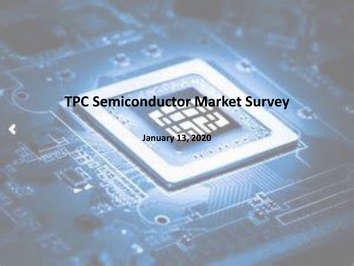## **TPC Semiconductor Market Survey**

**January 13, 2020**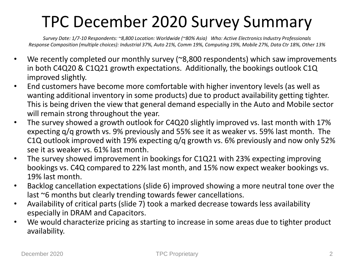### TPC December 2020 Survey Summary

*Survey Date: 1/7-10 Respondents: ~8,800 Location: Worldwide (~80% Asia) Who: Active Electronics Industry Professionals Response Composition (multiple choices): Industrial 37%, Auto 21%, Comm 19%, Computing 19%, Mobile 27%, Data Ctr 18%, Other 13%*

- We recently completed our monthly survey ( $\approx$ 8,800 respondents) which saw improvements in both C4Q20 & C1Q21 growth expectations. Additionally, the bookings outlook C1Q improved slightly.
- End customers have become more comfortable with higher inventory levels (as well as wanting additional inventory in some products) due to product availability getting tighter. This is being driven the view that general demand especially in the Auto and Mobile sector will remain strong throughout the year.
- The survey showed a growth outlook for C4Q20 slightly improved vs. last month with 17% expecting q/q growth vs. 9% previously and 55% see it as weaker vs. 59% last month. The C1Q outlook improved with 19% expecting q/q growth vs. 6% previously and now only 52% see it as weaker vs. 61% last month.
- The survey showed improvement in bookings for C1Q21 with 23% expecting improving bookings vs. C4Q compared to 22% last month, and 15% now expect weaker bookings vs. 19% last month.
- Backlog cancellation expectations (slide 6) improved showing a more neutral tone over the last ~6 months but clearly trending towards fewer cancellations.
- Availability of critical parts (slide 7) took a marked decrease towards less availability especially in DRAM and Capacitors.
- We would characterize pricing as starting to increase in some areas due to tighter product availability.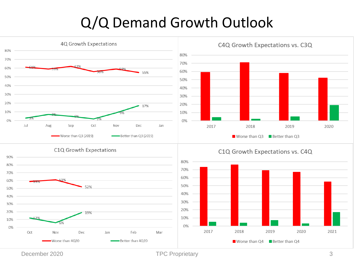#### Q/Q Demand Growth Outlook



December 2020 **TPC Proprietary** 3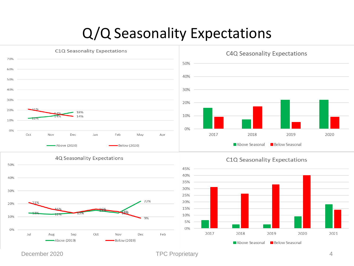#### Q/Q Seasonality Expectations



December 2020 TPC Proprietary 4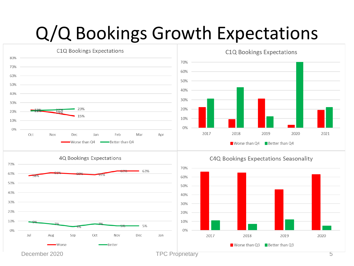## Q/Q Bookings Growth Expectations

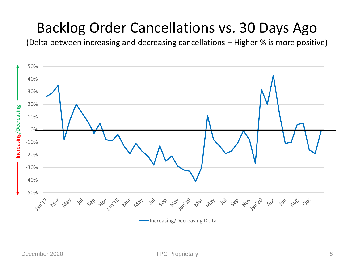#### Backlog Order Cancellations vs. 30 Days Ago

(Delta between increasing and decreasing cancellations – Higher % is more positive)

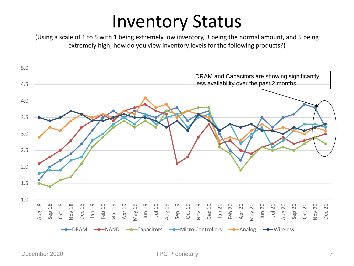## Inventory Status

(Using a scale of 1 to 5 with 1 being extremely low inventory, 3 being the normal amount, and 5 being extremely high; how do you view inventory levels for the following products?)

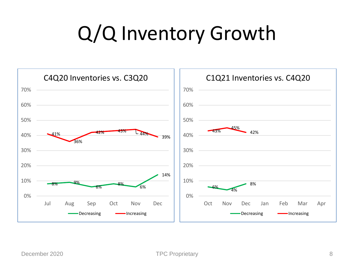## Q/Q Inventory Growth

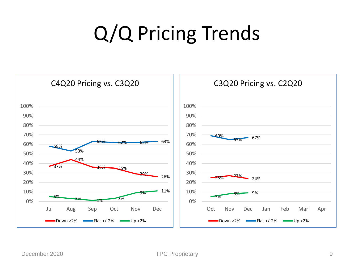# Q/Q Pricing Trends